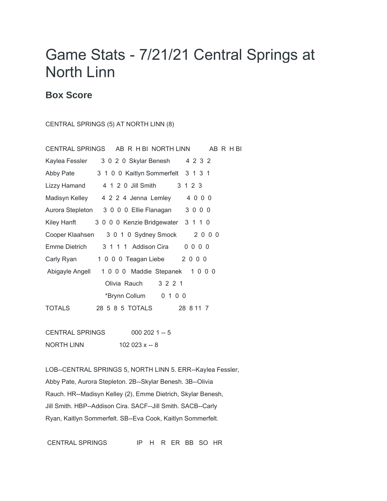## Game Stats - 7/21/21 Central Springs at North Linn

## **Box Score**

CENTRAL SPRINGS (5) AT NORTH LINN (8)

| CENTRAL SPRINGS AB R H BI NORTH LINN AB R H BI             |  |                 |                                    |         |  |  |
|------------------------------------------------------------|--|-----------------|------------------------------------|---------|--|--|
| Kaylea Fessler 3 0 2 0 Skylar Benesh 4 2 3 2               |  |                 |                                    |         |  |  |
| Abby Pate                                                  |  |                 | 3 1 0 0 Kaitlyn Sommerfelt 3 1 3 1 |         |  |  |
| Lizzy Hamand 4 1 2 0 Jill Smith                            |  |                 |                                    | 3 1 2 3 |  |  |
| Madisyn Kelley 4 2 2 4 Jenna Lemley 4 0 0 0                |  |                 |                                    |         |  |  |
| Aurora Stepleton 3 0 0 0 Ellie Flanagan 3 0 0 0            |  |                 |                                    |         |  |  |
| Kiley Hanft 3 0 0 0 Kenzie Bridgewater 3 1 1 0             |  |                 |                                    |         |  |  |
| Cooper Klaahsen 3 0 1 0 Sydney Smock 2 0 0 0               |  |                 |                                    |         |  |  |
| <b>Emme Dietrich</b>                                       |  |                 | 3 1 1 1 Addison Cira  0 0 0 0      |         |  |  |
| Carly Ryan 1000 Teagan Liebe 2000                          |  |                 |                                    |         |  |  |
| Abigayle Angell 1000 Maddie Stepanek 1000                  |  |                 |                                    |         |  |  |
| Olivia Rauch 3 2 2 1                                       |  |                 |                                    |         |  |  |
|                                                            |  |                 | *Brynn Collum 0 1 0 0              |         |  |  |
| TOTALS                                                     |  |                 | 28 5 8 5 TOTALS 28 8 11 7          |         |  |  |
|                                                            |  |                 |                                    |         |  |  |
| CENTRAL SPRINGS<br>$0002021 - 5$                           |  |                 |                                    |         |  |  |
| NORTH LINN                                                 |  | 102 023 $x - 8$ |                                    |         |  |  |
|                                                            |  |                 |                                    |         |  |  |
| LOB--CENTRAL SPRINGS 5, NORTH LINN 5. ERR--Kaylea Fessler, |  |                 |                                    |         |  |  |

Abby Pate, Aurora Stepleton. 2B--Skylar Benesh. 3B--Olivia

Rauch. HR--Madisyn Kelley (2), Emme Dietrich, Skylar Benesh,

Jill Smith. HBP--Addison Cira. SACF--Jill Smith. SACB--Carly

Ryan, Kaitlyn Sommerfelt. SB--Eva Cook, Kaitlyn Sommerfelt.

CENTRAL SPRINGS IP H R ER BB SO HR